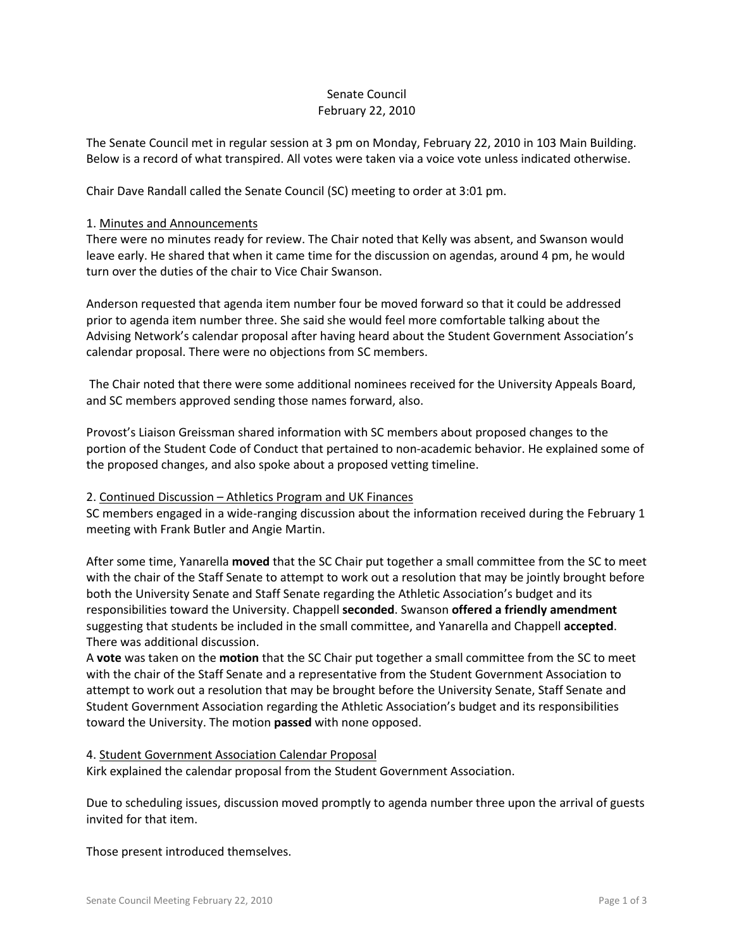# Senate Council February 22, 2010

The Senate Council met in regular session at 3 pm on Monday, February 22, 2010 in 103 Main Building. Below is a record of what transpired. All votes were taken via a voice vote unless indicated otherwise.

Chair Dave Randall called the Senate Council (SC) meeting to order at 3:01 pm.

#### 1. Minutes and Announcements

There were no minutes ready for review. The Chair noted that Kelly was absent, and Swanson would leave early. He shared that when it came time for the discussion on agendas, around 4 pm, he would turn over the duties of the chair to Vice Chair Swanson.

Anderson requested that agenda item number four be moved forward so that it could be addressed prior to agenda item number three. She said she would feel more comfortable talking about the Advising Network's calendar proposal after having heard about the Student Government Association's calendar proposal. There were no objections from SC members.

The Chair noted that there were some additional nominees received for the University Appeals Board, and SC members approved sending those names forward, also.

Provost's Liaison Greissman shared information with SC members about proposed changes to the portion of the Student Code of Conduct that pertained to non-academic behavior. He explained some of the proposed changes, and also spoke about a proposed vetting timeline.

# 2. Continued Discussion – Athletics Program and UK Finances

SC members engaged in a wide-ranging discussion about the information received during the February 1 meeting with Frank Butler and Angie Martin.

After some time, Yanarella **moved** that the SC Chair put together a small committee from the SC to meet with the chair of the Staff Senate to attempt to work out a resolution that may be jointly brought before both the University Senate and Staff Senate regarding the Athletic Association's budget and its responsibilities toward the University. Chappell **seconded**. Swanson **offered a friendly amendment**  suggesting that students be included in the small committee, and Yanarella and Chappell **accepted**. There was additional discussion.

A **vote** was taken on the **motion** that the SC Chair put together a small committee from the SC to meet with the chair of the Staff Senate and a representative from the Student Government Association to attempt to work out a resolution that may be brought before the University Senate, Staff Senate and Student Government Association regarding the Athletic Association's budget and its responsibilities toward the University. The motion **passed** with none opposed.

4. Student Government Association Calendar Proposal Kirk explained the calendar proposal from the Student Government Association.

Due to scheduling issues, discussion moved promptly to agenda number three upon the arrival of guests invited for that item.

Those present introduced themselves.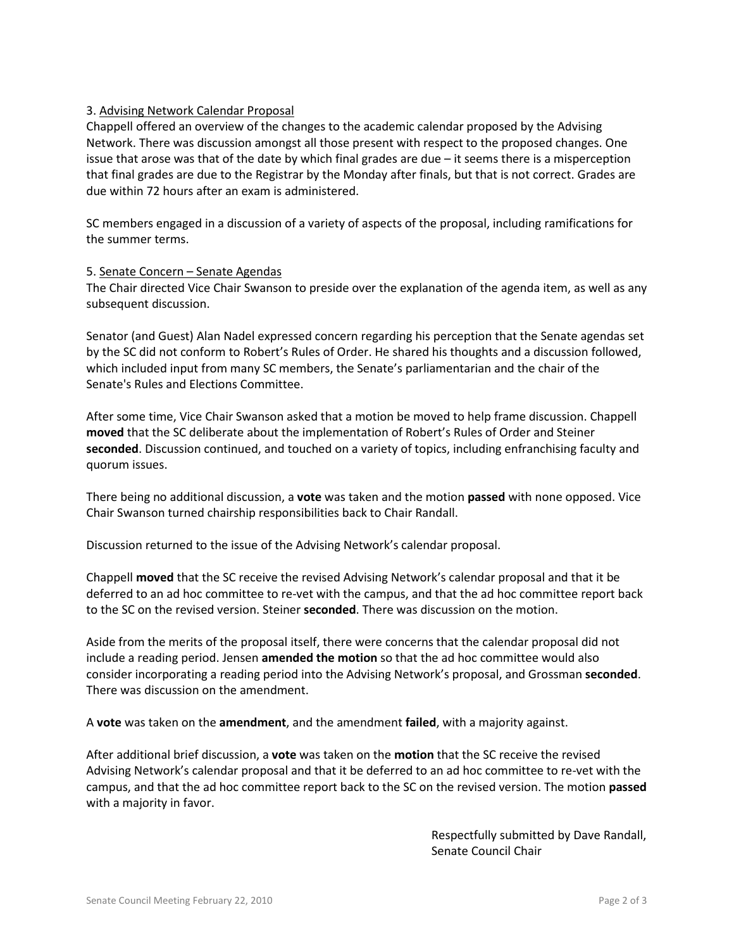# 3. Advising Network Calendar Proposal

Chappell offered an overview of the changes to the academic calendar proposed by the Advising Network. There was discussion amongst all those present with respect to the proposed changes. One issue that arose was that of the date by which final grades are due – it seems there is a misperception that final grades are due to the Registrar by the Monday after finals, but that is not correct. Grades are due within 72 hours after an exam is administered.

SC members engaged in a discussion of a variety of aspects of the proposal, including ramifications for the summer terms.

#### 5. Senate Concern – Senate Agendas

The Chair directed Vice Chair Swanson to preside over the explanation of the agenda item, as well as any subsequent discussion.

Senator (and Guest) Alan Nadel expressed concern regarding his perception that the Senate agendas set by the SC did not conform to Robert's Rules of Order. He shared his thoughts and a discussion followed, which included input from many SC members, the Senate's parliamentarian and the chair of the Senate's Rules and Elections Committee.

After some time, Vice Chair Swanson asked that a motion be moved to help frame discussion. Chappell **moved** that the SC deliberate about the implementation of Robert's Rules of Order and Steiner **seconded**. Discussion continued, and touched on a variety of topics, including enfranchising faculty and quorum issues.

There being no additional discussion, a **vote** was taken and the motion **passed** with none opposed. Vice Chair Swanson turned chairship responsibilities back to Chair Randall.

Discussion returned to the issue of the Advising Network's calendar proposal.

Chappell **moved** that the SC receive the revised Advising Network's calendar proposal and that it be deferred to an ad hoc committee to re-vet with the campus, and that the ad hoc committee report back to the SC on the revised version. Steiner **seconded**. There was discussion on the motion.

Aside from the merits of the proposal itself, there were concerns that the calendar proposal did not include a reading period. Jensen **amended the motion** so that the ad hoc committee would also consider incorporating a reading period into the Advising Network's proposal, and Grossman **seconded**. There was discussion on the amendment.

A **vote** was taken on the **amendment**, and the amendment **failed**, with a majority against.

After additional brief discussion, a **vote** was taken on the **motion** that the SC receive the revised Advising Network's calendar proposal and that it be deferred to an ad hoc committee to re-vet with the campus, and that the ad hoc committee report back to the SC on the revised version. The motion **passed**  with a majority in favor.

> Respectfully submitted by Dave Randall, Senate Council Chair